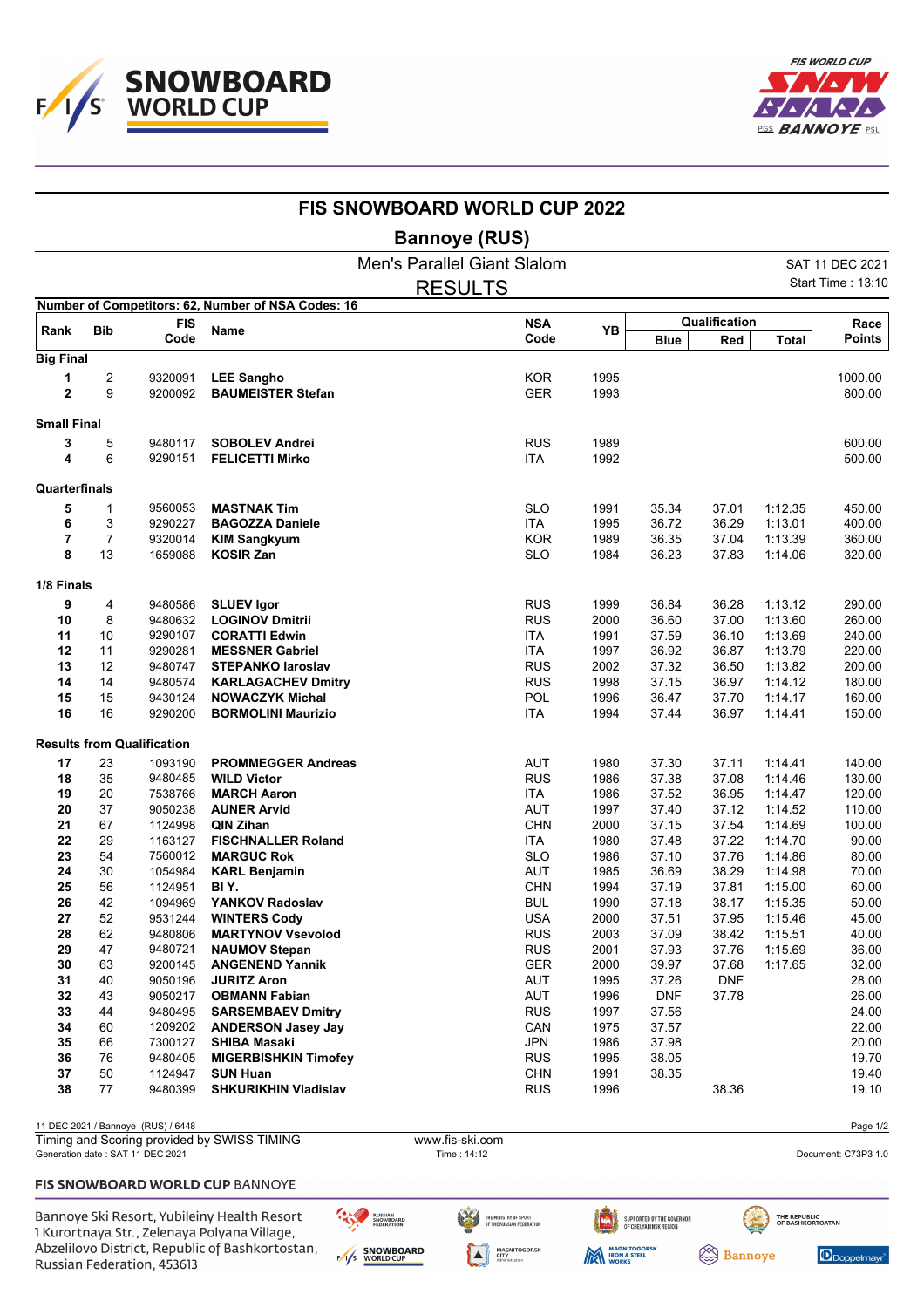



|                    |            |                                    |                                                    | <b>FIS SNOWBOARD WORLD CUP 2022</b> |                    |      |             |               |              |                          |
|--------------------|------------|------------------------------------|----------------------------------------------------|-------------------------------------|--------------------|------|-------------|---------------|--------------|--------------------------|
|                    |            |                                    |                                                    | <b>Bannoye (RUS)</b>                |                    |      |             |               |              |                          |
|                    |            |                                    |                                                    | <b>Men's Parallel Giant Slalom</b>  |                    |      |             |               |              | SAT 11 DEC 2021          |
|                    |            |                                    |                                                    | <b>RESULTS</b>                      |                    |      |             |               |              | <b>Start Time: 13:10</b> |
|                    |            |                                    | Number of Competitors: 62, Number of NSA Codes: 16 |                                     |                    |      |             | Qualification |              |                          |
| Rank               | <b>Bib</b> | <b>FIS</b><br>Code                 | Name                                               |                                     | <b>NSA</b><br>Code | YB   | <b>Blue</b> | Red           | <b>Total</b> | Race<br><b>Points</b>    |
| <b>Big Final</b>   |            |                                    |                                                    |                                     |                    |      |             |               |              |                          |
| 1                  | 2          | 9320091                            | <b>LEE Sangho</b>                                  |                                     | <b>KOR</b>         | 1995 |             |               |              | 1000.00                  |
| $\overline{2}$     | 9          | 9200092                            | <b>BAUMEISTER Stefan</b>                           |                                     | <b>GER</b>         | 1993 |             |               |              | 800.00                   |
| <b>Small Final</b> |            |                                    |                                                    |                                     |                    |      |             |               |              |                          |
| 3                  | 5          | 9480117                            | <b>SOBOLEV Andrei</b>                              |                                     | <b>RUS</b>         | 1989 |             |               |              | 600.00                   |
| 4                  | 6          | 9290151                            | <b>FELICETTI Mirko</b>                             |                                     | <b>ITA</b>         | 1992 |             |               |              | 500.00                   |
| Quarterfinals      |            |                                    |                                                    |                                     |                    |      |             |               |              |                          |
| 5                  | 1          | 9560053                            | <b>MASTNAK Tim</b>                                 |                                     | <b>SLO</b>         | 1991 | 35.34       | 37.01         | 1:12.35      | 450.00                   |
| 6                  | 3          | 9290227                            | <b>BAGOZZA Daniele</b>                             |                                     | <b>ITA</b>         | 1995 | 36.72       | 36.29         | 1:13.01      | 400.00                   |
| 7                  | 7          | 9320014                            | <b>KIM Sangkyum</b>                                |                                     | <b>KOR</b>         | 1989 | 36.35       | 37.04         | 1:13.39      | 360.00                   |
| 8                  | 13         | 1659088                            | <b>KOSIR Zan</b>                                   |                                     | <b>SLO</b>         | 1984 | 36.23       | 37.83         | 1:14.06      | 320.00                   |
| 1/8 Finals         |            |                                    |                                                    |                                     |                    |      |             |               |              |                          |
| 9                  | 4          | 9480586                            | <b>SLUEV Igor</b>                                  |                                     | <b>RUS</b>         | 1999 | 36.84       | 36.28         | 1:13.12      | 290.00                   |
| 10                 | 8          | 9480632                            | <b>LOGINOV Dmitrii</b>                             |                                     | <b>RUS</b>         | 2000 | 36.60       | 37.00         | 1:13.60      | 260.00                   |
| 11                 | 10         | 9290107                            | <b>CORATTI Edwin</b>                               |                                     | <b>ITA</b>         | 1991 | 37.59       | 36.10         | 1:13.69      | 240.00                   |
| 12                 | 11         | 9290281                            | <b>MESSNER Gabriel</b>                             |                                     | <b>ITA</b>         | 1997 | 36.92       | 36.87         | 1:13.79      | 220.00                   |
| 13                 | 12         | 9480747                            | <b>STEPANKO laroslav</b>                           |                                     | <b>RUS</b>         | 2002 | 37.32       | 36.50         | 1:13.82      | 200.00                   |
| 14                 | 14         | 9480574                            | <b>KARLAGACHEV Dmitry</b>                          |                                     | <b>RUS</b>         | 1998 | 37.15       | 36.97         | 1:14.12      | 180.00                   |
| 15                 | 15         | 9430124                            | <b>NOWACZYK Michal</b>                             |                                     | POL                | 1996 | 36.47       | 37.70         | 1:14.17      | 160.00                   |
| 16                 | 16         | 9290200                            | <b>BORMOLINI Maurizio</b>                          |                                     | <b>ITA</b>         | 1994 | 37.44       | 36.97         | 1:14.41      | 150.00                   |
|                    |            | <b>Results from Qualification</b>  |                                                    |                                     |                    |      |             |               |              |                          |
| 17                 | 23         | 1093190                            | <b>PROMMEGGER Andreas</b>                          |                                     | <b>AUT</b>         | 1980 | 37.30       | 37.11         | 1:14.41      | 140.00                   |
| 18                 | 35         | 9480485                            | <b>WILD Victor</b>                                 |                                     | <b>RUS</b>         | 1986 | 37.38       | 37.08         | 1:14.46      | 130.00                   |
| 19                 | 20         | 7538766                            | <b>MARCH Aaron</b>                                 |                                     | <b>ITA</b>         | 1986 | 37.52       | 36.95         | 1:14.47      | 120.00                   |
| 20                 | 37         | 9050238                            | <b>AUNER Arvid</b>                                 |                                     | <b>AUT</b>         | 1997 | 37.40       | 37.12         | 1:14.52      | 110.00                   |
| 21                 | 67         | 1124998                            | QIN Zihan                                          |                                     | <b>CHN</b>         | 2000 | 37.15       | 37.54         | 1:14.69      | 100.00                   |
| 22                 | 29         | 1163127                            | <b>FISCHNALLER Roland</b>                          |                                     | <b>ITA</b>         | 1980 | 37.48       | 37.22         | 1:14.70      | 90.00                    |
| 23                 | 54         | 7560012                            | <b>MARGUC Rok</b>                                  |                                     | <b>SLO</b>         | 1986 | 37.10       | 37.76         | 1:14.86      | 80.00                    |
| 24                 | 30         | 1054984                            | <b>KARL Benjamin</b>                               |                                     | AUT                | 1985 | 36.69       | 38.29         | 1:14.98      | 70.00                    |
| 25                 | 56         | 1124951                            | BI Y.                                              |                                     | <b>CHN</b>         | 1994 | 37.19       | 37.81         | 1:15.00      | 60.00                    |
| 26                 | 42         | 1094969                            | YANKOV Radoslav                                    |                                     | <b>BUL</b>         | 1990 | 37.18       | 38.17         | 1:15.35      | 50.00                    |
| 27                 | 52         | 9531244                            | <b>WINTERS Cody</b>                                |                                     | <b>USA</b>         | 2000 | 37.51       | 37.95         | 1:15.46      | 45.00                    |
| 28                 | 62         | 9480806                            | <b>MARTYNOV Vsevolod</b>                           |                                     | <b>RUS</b>         | 2003 | 37.09       | 38.42         | 1:15.51      | 40.00                    |
| 29                 | 47         | 9480721                            | <b>NAUMOV Stepan</b>                               |                                     | <b>RUS</b>         | 2001 | 37.93       | 37.76         | 1:15.69      | 36.00                    |
| 30                 | 63         | 9200145                            | <b>ANGENEND Yannik</b>                             |                                     | <b>GER</b>         | 2000 | 39.97       | 37.68         | 1:17.65      | 32.00                    |
| 31                 | 40         | 9050196                            | <b>JURITZ Aron</b>                                 |                                     | AUT                | 1995 | 37.26       | <b>DNF</b>    |              | 28.00                    |
| 32                 | 43         | 9050217                            | <b>OBMANN Fabian</b>                               |                                     | AUT                | 1996 | <b>DNF</b>  | 37.78         |              | 26.00                    |
| 33                 | 44         | 9480495                            | <b>SARSEMBAEV Dmitry</b>                           |                                     | <b>RUS</b>         | 1997 | 37.56       |               |              | 24.00                    |
| 34                 | 60         | 1209202                            | <b>ANDERSON Jasey Jay</b>                          |                                     | CAN                | 1975 | 37.57       |               |              | 22.00                    |
| 35                 | 66         | 7300127                            | <b>SHIBA Masaki</b>                                |                                     | JPN                | 1986 | 37.98       |               |              | 20.00                    |
| 36                 | 76         | 9480405                            | <b>MIGERBISHKIN Timofey</b>                        |                                     | <b>RUS</b>         | 1995 | 38.05       |               |              | 19.70                    |
| 37                 | 50         | 1124947                            | <b>SUN Huan</b>                                    |                                     | <b>CHN</b>         | 1991 | 38.35       |               |              | 19.40                    |
| 38                 | 77         | 9480399                            | <b>SHKURIKHIN Vladislav</b>                        |                                     | <b>RUS</b>         | 1996 |             | 38.36         |              | 19.10                    |
|                    |            | 11 DEC 2021 / Bannoye (RUS) / 6448 |                                                    |                                     |                    |      |             |               |              | Page 1/2                 |
|                    |            |                                    | Timing and Scoring provided by SWISS TIMING        | www.fis-ski.com                     |                    |      |             |               |              |                          |
|                    |            | Generation date: SAT 11 DEC 2021   |                                                    | Time: 14:12                         |                    |      |             |               |              | Document: C73P3 1.0      |

## FIS SNOWBOARD WORLD CUP BANNOYE

Bannoye Ski Resort, Yubileiny Health Resort 1 Kurortnaya Str., Zelenaya Polyana Village, Abzelilovo District, Republic of Bashkortostan, Russian Federation, 453613

RUSSIAN<br>SNOWBOARD<br>FEDERATION E/I/S SNOWBOARD

THE MINISTRY OF SPORT<br>Of the russian federation

M MAGNITOGORSK

**MAGNITOGORSK**<br>CITY<br>Administration

 $\blacktriangle$ 

SUPPORTED BY THE GOVERNOR<br>Of Chelyabinsk region

THE REPUBLIC<br>OF BASHKORTOATAN **Bannoye**